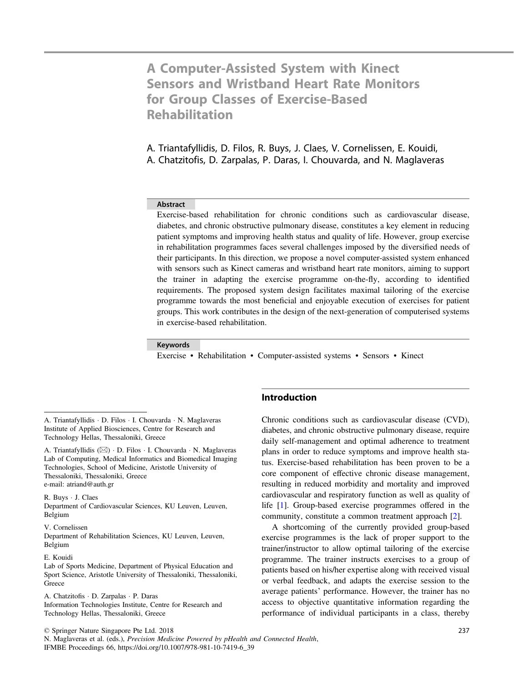# A Computer-Assisted System with Kinect Sensors and Wristband Heart Rate Monitors for Group Classes of Exercise-Based Rehabilitation

A. Triantafyllidis, D. Filos, R. Buys, J. Claes, V. Cornelissen, E. Kouidi, A. Chatzitofis, D. Zarpalas, P. Daras, I. Chouvarda, and N. Maglaveras

#### **Abstract**

Exercise-based rehabilitation for chronic conditions such as cardiovascular disease, diabetes, and chronic obstructive pulmonary disease, constitutes a key element in reducing patient symptoms and improving health status and quality of life. However, group exercise in rehabilitation programmes faces several challenges imposed by the diversified needs of their participants. In this direction, we propose a novel computer-assisted system enhanced with sensors such as Kinect cameras and wristband heart rate monitors, aiming to support the trainer in adapting the exercise programme on-the-fly, according to identified requirements. The proposed system design facilitates maximal tailoring of the exercise programme towards the most beneficial and enjoyable execution of exercises for patient groups. This work contributes in the design of the next-generation of computerised systems in exercise-based rehabilitation.

#### Keywords

Exercise • Rehabilitation • Computer-assisted systems • Sensors • Kinect

A. Triantafyllidis · D. Filos · I. Chouvarda · N. Maglaveras Institute of Applied Biosciences, Centre for Research and Technology Hellas, Thessaloniki, Greece

A. Triantafyllidis  $(\boxtimes) \cdot$  D. Filos  $\cdot$  I. Chouvarda  $\cdot$  N. Maglaveras Lab of Computing, Medical Informatics and Biomedical Imaging Technologies, School of Medicine, Aristotle University of Thessaloniki, Thessaloniki, Greece e-mail: atriand@auth.gr

#### R. Buys · J. Claes

Department of Cardiovascular Sciences, KU Leuven, Leuven, Belgium

#### V. Cornelissen

Department of Rehabilitation Sciences, KU Leuven, Leuven, Belgium

#### E. Kouidi

Lab of Sports Medicine, Department of Physical Education and Sport Science, Aristotle University of Thessaloniki, Thessaloniki, **Greece** 

A. Chatzitofis · D. Zarpalas · P. Daras Information Technologies Institute, Centre for Research and Technology Hellas, Thessaloniki, Greece

## Introduction

Chronic conditions such as cardiovascular disease (CVD), diabetes, and chronic obstructive pulmonary disease, require daily self-management and optimal adherence to treatment plans in order to reduce symptoms and improve health status. Exercise-based rehabilitation has been proven to be a core component of effective chronic disease management, resulting in reduced morbidity and mortality and improved cardiovascular and respiratory function as well as quality of life [1]. Group-based exercise programmes offered in the community, constitute a common treatment approach [2].

A shortcoming of the currently provided group-based exercise programmes is the lack of proper support to the trainer/instructor to allow optimal tailoring of the exercise programme. The trainer instructs exercises to a group of patients based on his/her expertise along with received visual or verbal feedback, and adapts the exercise session to the average patients' performance. However, the trainer has no access to objective quantitative information regarding the performance of individual participants in a class, thereby

© Springer Nature Singapore Pte Ltd. 2018

N. Maglaveras et al. (eds.), Precision Medicine Powered by pHealth and Connected Health, IFMBE Proceedings 66, https://doi.org/10.1007/978-981-10-7419-6\_39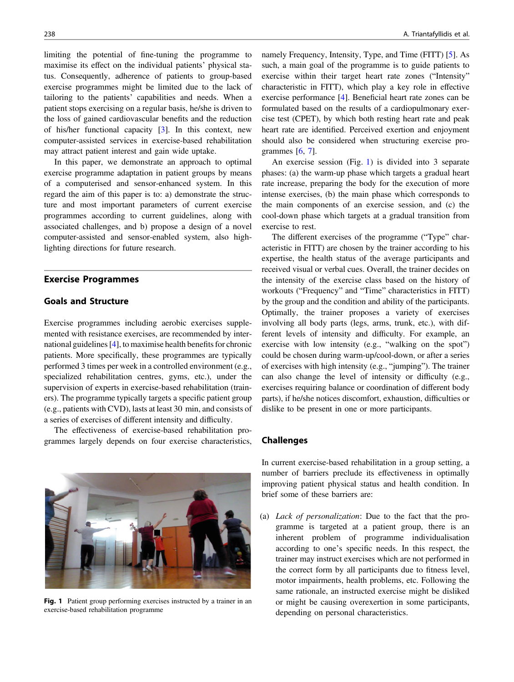limiting the potential of fine-tuning the programme to maximise its effect on the individual patients' physical status. Consequently, adherence of patients to group-based exercise programmes might be limited due to the lack of tailoring to the patients' capabilities and needs. When a patient stops exercising on a regular basis, he/she is driven to the loss of gained cardiovascular benefits and the reduction of his/her functional capacity [3]. In this context, new computer-assisted services in exercise-based rehabilitation may attract patient interest and gain wide uptake.

In this paper, we demonstrate an approach to optimal exercise programme adaptation in patient groups by means of a computerised and sensor-enhanced system. In this regard the aim of this paper is to: a) demonstrate the structure and most important parameters of current exercise programmes according to current guidelines, along with associated challenges, and b) propose a design of a novel computer-assisted and sensor-enabled system, also highlighting directions for future research.

#### Exercise Programmes

## Goals and Structure

Exercise programmes including aerobic exercises supplemented with resistance exercises, are recommended by international guidelines [4], to maximise health benefits for chronic patients. More specifically, these programmes are typically performed 3 times per week in a controlled environment (e.g., specialized rehabilitation centres, gyms, etc.), under the supervision of experts in exercise-based rehabilitation (trainers). The programme typically targets a specific patient group (e.g., patients with CVD), lasts at least 30 min, and consists of a series of exercises of different intensity and difficulty.

The effectiveness of exercise-based rehabilitation programmes largely depends on four exercise characteristics,



namely Frequency, Intensity, Type, and Time (FITT) [5]. As such, a main goal of the programme is to guide patients to exercise within their target heart rate zones ("Intensity" characteristic in FITT), which play a key role in effective exercise performance [4]. Beneficial heart rate zones can be formulated based on the results of a cardiopulmonary exercise test (CPET), by which both resting heart rate and peak heart rate are identified. Perceived exertion and enjoyment should also be considered when structuring exercise programmes  $[6, 7]$ .

An exercise session (Fig. 1) is divided into 3 separate phases: (a) the warm-up phase which targets a gradual heart rate increase, preparing the body for the execution of more intense exercises, (b) the main phase which corresponds to the main components of an exercise session, and (c) the cool-down phase which targets at a gradual transition from exercise to rest.

The different exercises of the programme ("Type" characteristic in FITT) are chosen by the trainer according to his expertise, the health status of the average participants and received visual or verbal cues. Overall, the trainer decides on the intensity of the exercise class based on the history of workouts ("Frequency" and "Time" characteristics in FITT) by the group and the condition and ability of the participants. Optimally, the trainer proposes a variety of exercises involving all body parts (legs, arms, trunk, etc.), with different levels of intensity and difficulty. For example, an exercise with low intensity (e.g., "walking on the spot") could be chosen during warm-up/cool-down, or after a series of exercises with high intensity (e.g., "jumping"). The trainer can also change the level of intensity or difficulty (e.g., exercises requiring balance or coordination of different body parts), if he/she notices discomfort, exhaustion, difficulties or dislike to be present in one or more participants.

#### Challenges

In current exercise-based rehabilitation in a group setting, a number of barriers preclude its effectiveness in optimally improving patient physical status and health condition. In brief some of these barriers are:

(a) Lack of personalization: Due to the fact that the programme is targeted at a patient group, there is an inherent problem of programme individualisation according to one's specific needs. In this respect, the trainer may instruct exercises which are not performed in the correct form by all participants due to fitness level, motor impairments, health problems, etc. Following the same rationale, an instructed exercise might be disliked or might be causing overexertion in some participants, depending on personal characteristics.

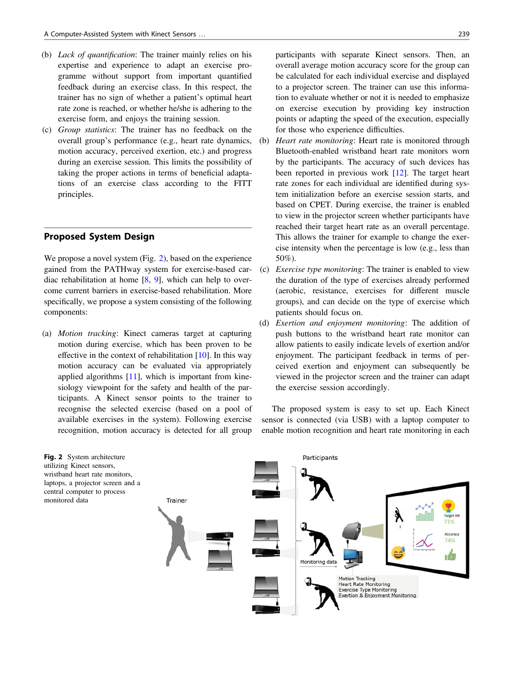- (b) Lack of quantification: The trainer mainly relies on his expertise and experience to adapt an exercise programme without support from important quantified feedback during an exercise class. In this respect, the trainer has no sign of whether a patient's optimal heart rate zone is reached, or whether he/she is adhering to the exercise form, and enjoys the training session.
- (c) Group statistics: The trainer has no feedback on the overall group's performance (e.g., heart rate dynamics, motion accuracy, perceived exertion, etc.) and progress during an exercise session. This limits the possibility of taking the proper actions in terms of beneficial adaptations of an exercise class according to the FITT principles.

## Proposed System Design

We propose a novel system (Fig. 2), based on the experience gained from the PATHway system for exercise-based cardiac rehabilitation at home [8, 9], which can help to overcome current barriers in exercise-based rehabilitation. More specifically, we propose a system consisting of the following components:

(a) Motion tracking: Kinect cameras target at capturing motion during exercise, which has been proven to be effective in the context of rehabilitation  $[10]$ . In this way motion accuracy can be evaluated via appropriately applied algorithms [11], which is important from kinesiology viewpoint for the safety and health of the participants. A Kinect sensor points to the trainer to recognise the selected exercise (based on a pool of available exercises in the system). Following exercise recognition, motion accuracy is detected for all group participants with separate Kinect sensors. Then, an overall average motion accuracy score for the group can be calculated for each individual exercise and displayed to a projector screen. The trainer can use this information to evaluate whether or not it is needed to emphasize on exercise execution by providing key instruction points or adapting the speed of the execution, especially for those who experience difficulties.

- (b) Heart rate monitoring: Heart rate is monitored through Bluetooth-enabled wristband heart rate monitors worn by the participants. The accuracy of such devices has been reported in previous work [12]. The target heart rate zones for each individual are identified during system initialization before an exercise session starts, and based on CPET. During exercise, the trainer is enabled to view in the projector screen whether participants have reached their target heart rate as an overall percentage. This allows the trainer for example to change the exercise intensity when the percentage is low (e.g., less than 50%).
- (c) Exercise type monitoring: The trainer is enabled to view the duration of the type of exercises already performed (aerobic, resistance, exercises for different muscle groups), and can decide on the type of exercise which patients should focus on.
- (d) Exertion and enjoyment monitoring: The addition of push buttons to the wristband heart rate monitor can allow patients to easily indicate levels of exertion and/or enjoyment. The participant feedback in terms of perceived exertion and enjoyment can subsequently be viewed in the projector screen and the trainer can adapt the exercise session accordingly.

The proposed system is easy to set up. Each Kinect sensor is connected (via USB) with a laptop computer to enable motion recognition and heart rate monitoring in each

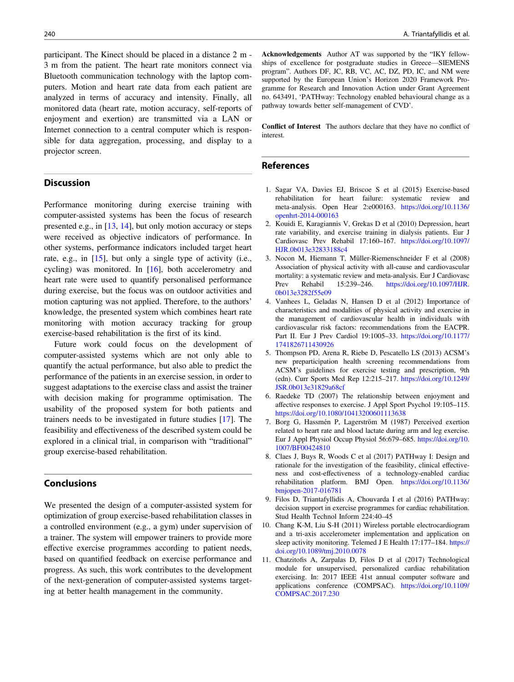participant. The Kinect should be placed in a distance 2 m - 3 m from the patient. The heart rate monitors connect via Bluetooth communication technology with the laptop computers. Motion and heart rate data from each patient are analyzed in terms of accuracy and intensity. Finally, all monitored data (heart rate, motion accuracy, self-reports of enjoyment and exertion) are transmitted via a LAN or Internet connection to a central computer which is responsible for data aggregation, processing, and display to a projector screen.

## **Discussion**

Performance monitoring during exercise training with computer-assisted systems has been the focus of research presented e.g., in [13, 14], but only motion accuracy or steps were received as objective indicators of performance. In other systems, performance indicators included target heart rate, e.g., in [15], but only a single type of activity (i.e., cycling) was monitored. In [16], both accelerometry and heart rate were used to quantify personalised performance during exercise, but the focus was on outdoor activities and motion capturing was not applied. Therefore, to the authors' knowledge, the presented system which combines heart rate monitoring with motion accuracy tracking for group exercise-based rehabilitation is the first of its kind.

Future work could focus on the development of computer-assisted systems which are not only able to quantify the actual performance, but also able to predict the performance of the patients in an exercise session, in order to suggest adaptations to the exercise class and assist the trainer with decision making for programme optimisation. The usability of the proposed system for both patients and trainers needs to be investigated in future studies [17]. The feasibility and effectiveness of the described system could be explored in a clinical trial, in comparison with "traditional" group exercise-based rehabilitation.

### Conclusions

We presented the design of a computer-assisted system for optimization of group exercise-based rehabilitation classes in a controlled environment (e.g., a gym) under supervision of a trainer. The system will empower trainers to provide more effective exercise programmes according to patient needs, based on quantified feedback on exercise performance and progress. As such, this work contributes to the development of the next-generation of computer-assisted systems targeting at better health management in the community.

Acknowledgements Author AT was supported by the "IKY fellowships of excellence for postgraduate studies in Greece—SIEMENS program". Authors DF, JC, RB, VC, AC, DZ, PD, IC, and NM were supported by the European Union's Horizon 2020 Framework Programme for Research and Innovation Action under Grant Agreement no. 643491, 'PATHway: Technology enabled behavioural change as a pathway towards better self-management of CVD'.

Conflict of Interest The authors declare that they have no conflict of interest.

#### References

- 1. Sagar VA, Davies EJ, Briscoe S et al (2015) Exercise-based rehabilitation for heart failure: systematic review and meta-analysis. Open Hear 2:e000163. [https://doi.org/10.1136/](http://dx.doi.org/10.1136/openhrt-2014-000163) [openhrt-2014-000163](http://dx.doi.org/10.1136/openhrt-2014-000163)
- 2. Kouidi E, Karagiannis V, Grekas D et al (2010) Depression, heart rate variability, and exercise training in dialysis patients. Eur J Cardiovasc Prev Rehabil 17:160–167. [https://doi.org/10.1097/](http://dx.doi.org/10.1097/HJR.0b013e32833188c4) [HJR.0b013e32833188c4](http://dx.doi.org/10.1097/HJR.0b013e32833188c4)
- 3. Nocon M, Hiemann T, Müller-Riemenschneider F et al (2008) Association of physical activity with all-cause and cardiovascular mortality: a systematic review and meta-analysis. Eur J Cardiovasc Prev Rehabil 15:239–246. [https://doi.org/10.1097/HJR.](http://dx.doi.org/10.1097/HJR.0b013e3282f55e09) [0b013e3282f55e09](http://dx.doi.org/10.1097/HJR.0b013e3282f55e09)
- 4. Vanhees L, Geladas N, Hansen D et al (2012) Importance of characteristics and modalities of physical activity and exercise in the management of cardiovascular health in individuals with cardiovascular risk factors: recommendations from the EACPR. Part II. Eur J Prev Cardiol 19:1005–33. [https://doi.org/10.1177/](http://dx.doi.org/10.1177/1741826711430926) [1741826711430926](http://dx.doi.org/10.1177/1741826711430926)
- 5. Thompson PD, Arena R, Riebe D, Pescatello LS (2013) ACSM's new preparticipation health screening recommendations from ACSM's guidelines for exercise testing and prescription, 9th (edn). Curr Sports Med Rep 12:215–217. [https://doi.org/10.1249/](http://dx.doi.org/10.1249/JSR.0b013e31829a68cf) [JSR.0b013e31829a68cf](http://dx.doi.org/10.1249/JSR.0b013e31829a68cf)
- 6. Raedeke TD (2007) The relationship between enjoyment and affective responses to exercise. J Appl Sport Psychol 19:105–115. [https://doi.org/10.1080/10413200601113638](http://dx.doi.org/10.1080/10413200601113638)
- 7. Borg G, Hassmén P, Lagerström M (1987) Perceived exertion related to heart rate and blood lactate during arm and leg exercise. Eur J Appl Physiol Occup Physiol 56:679–685. [https://doi.org/10.](http://dx.doi.org/10.1007/BF00424810) [1007/BF00424810](http://dx.doi.org/10.1007/BF00424810)
- 8. Claes J, Buys R, Woods C et al (2017) PATHway I: Design and rationale for the investigation of the feasibility, clinical effectiveness and cost-effectiveness of a technology-enabled cardiac rehabilitation platform. BMJ Open. [https://doi.org/10.1136/](http://dx.doi.org/10.1136/bmjopen-2017-016781) [bmjopen-2017-016781](http://dx.doi.org/10.1136/bmjopen-2017-016781)
- 9. Filos D, Triantafyllidis A, Chouvarda I et al (2016) PATHway: decision support in exercise programmes for cardiac rehabilitation. Stud Health Technol Inform 224:40–45
- 10. Chang K-M, Liu S-H (2011) Wireless portable electrocardiogram and a tri-axis accelerometer implementation and application on sleep activity monitoring. Telemed J E Health 17:177–184. [https://](http://dx.doi.org/10.1089/tmj.2010.0078) [doi.org/10.1089/tmj.2010.0078](http://dx.doi.org/10.1089/tmj.2010.0078)
- 11. Chatzitofis A, Zarpalas D, Filos D et al (2017) Technological module for unsupervised, personalized cardiac rehabilitation exercising. In: 2017 IEEE 41st annual computer software and applications conference (COMPSAC). [https://doi.org/10.1109/](http://dx.doi.org/10.1109/COMPSAC.2017.230) [COMPSAC.2017.230](http://dx.doi.org/10.1109/COMPSAC.2017.230)